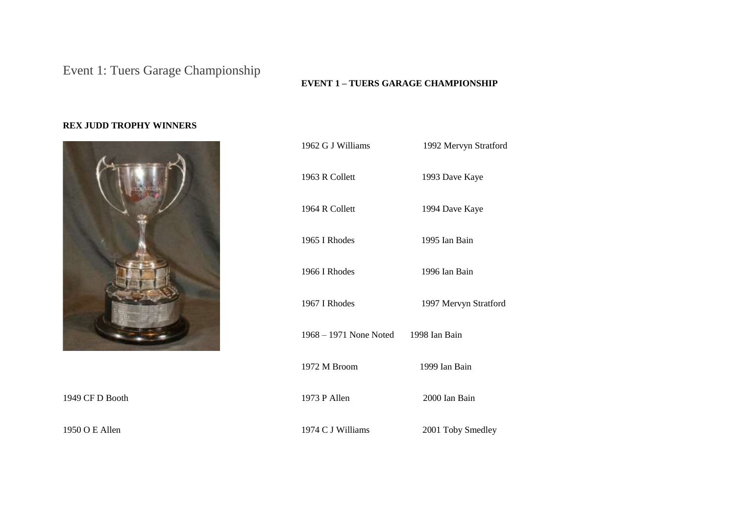## Event 1: Tuers Garage Championship

## **EVENT 1 – TUERS GARAGE CHAMPIONSHIP**

## **REX JUDD TROPHY WINNERS**



1949 CF D Booth

1950 O E Allen

| 1962 G J Williams                    | 1992 Mervyn Stratford |
|--------------------------------------|-----------------------|
| 1963 R Collett                       | 1993 Dave Kaye        |
| 1964 R Collett                       | 1994 Dave Kaye        |
| 1965 I Rhodes                        | 1995 Ian Bain         |
| 1966 I Rhodes                        | 1996 Ian Bain         |
| 1967 I Rhodes                        | 1997 Mervyn Stratford |
| 1968 – 1971 None Noted 1998 Ian Bain |                       |
| 1972 M Broom                         | 1999 Ian Bain         |
| 1973 P Allen                         | 2000 Ian Bain         |
| 1974 C J Williams                    | 2001 Toby Smedley     |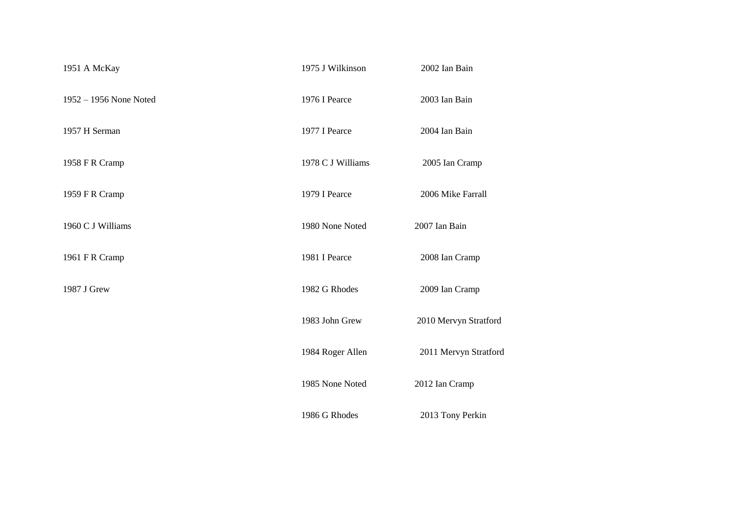| 1951 A McKay           | 1975 J Wilkinson  | 2002 Ian Bain         |
|------------------------|-------------------|-----------------------|
| 1952 - 1956 None Noted | 1976 I Pearce     | 2003 Ian Bain         |
| 1957 H Serman          | 1977 I Pearce     | 2004 Ian Bain         |
| 1958 F R Cramp         | 1978 C J Williams | 2005 Ian Cramp        |
| 1959 F R Cramp         | 1979 I Pearce     | 2006 Mike Farrall     |
| 1960 C J Williams      | 1980 None Noted   | 2007 Ian Bain         |
| 1961 F R Cramp         | 1981 I Pearce     | 2008 Ian Cramp        |
| 1987 J Grew            | 1982 G Rhodes     | 2009 Ian Cramp        |
|                        | 1983 John Grew    | 2010 Mervyn Stratford |
|                        | 1984 Roger Allen  | 2011 Mervyn Stratford |
|                        | 1985 None Noted   | 2012 Ian Cramp        |
|                        | 1986 G Rhodes     | 2013 Tony Perkin      |